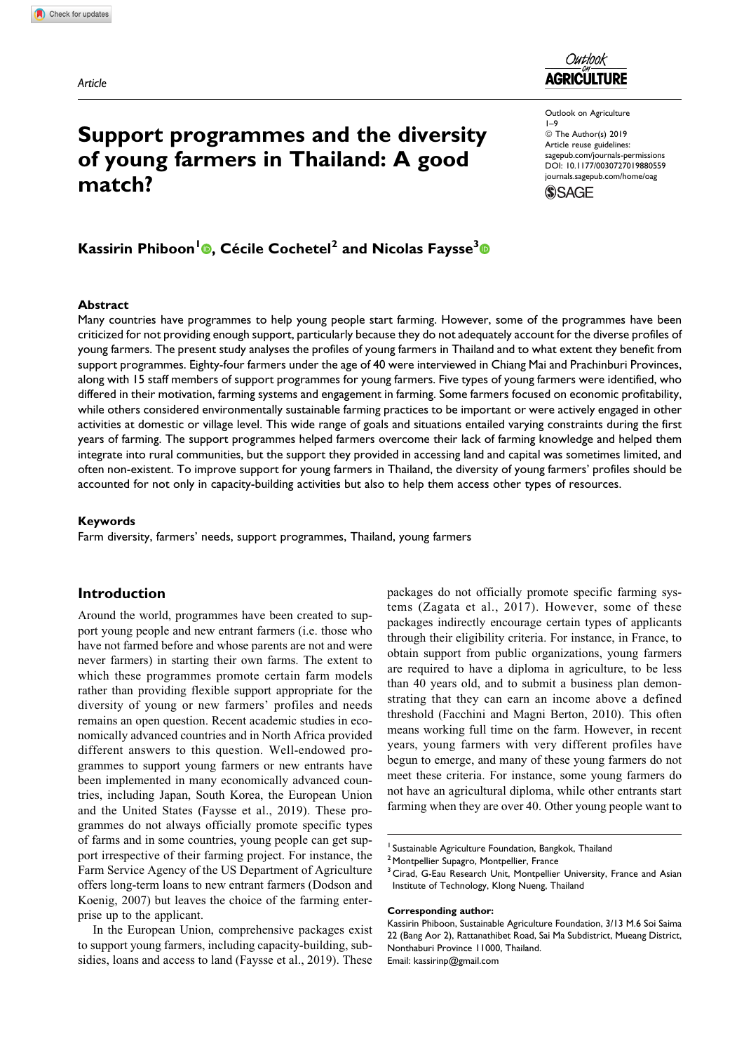Article

# Support programmes and the diversity of young farmers in Thailand: A good match?



Outlook on Agriculture 1–9

© The Author(s) 2019 Article reuse guidelines: [sagepub.com/journals-permissions](https://sagepub.com/journals-permissions) [DOI: 10.1177/0030727019880559](https://doi.org/10.1177/0030727019880559) [journals.sagepub.com/home/oag](http://journals.sagepub.com/home/oag)**SSAGE** 

Kassirin Phiboon<sup>[1](https://orcid.org/0000-0001-8428-2049)</sup><sup>®</sup>, Cécile Cochetel<sup>2</sup> and Nicolas Faysse<sup>3</sup><sup>®</sup>

#### Abstract

Many countries have programmes to help young people start farming. However, some of the programmes have been criticized for not providing enough support, particularly because they do not adequately account for the diverse profiles of young farmers. The present study analyses the profiles of young farmers in Thailand and to what extent they benefit from support programmes. Eighty-four farmers under the age of 40 were interviewed in Chiang Mai and Prachinburi Provinces, along with 15 staff members of support programmes for young farmers. Five types of young farmers were identified, who differed in their motivation, farming systems and engagement in farming. Some farmers focused on economic profitability, while others considered environmentally sustainable farming practices to be important or were actively engaged in other activities at domestic or village level. This wide range of goals and situations entailed varying constraints during the first years of farming. The support programmes helped farmers overcome their lack of farming knowledge and helped them integrate into rural communities, but the support they provided in accessing land and capital was sometimes limited, and often non-existent. To improve support for young farmers in Thailand, the diversity of young farmers' profiles should be accounted for not only in capacity-building activities but also to help them access other types of resources.

#### Keywords

Farm diversity, farmers' needs, support programmes, Thailand, young farmers

## Introduction

Around the world, programmes have been created to support young people and new entrant farmers (i.e. those who have not farmed before and whose parents are not and were never farmers) in starting their own farms. The extent to which these programmes promote certain farm models rather than providing flexible support appropriate for the diversity of young or new farmers' profiles and needs remains an open question. Recent academic studies in economically advanced countries and in North Africa provided different answers to this question. Well-endowed programmes to support young farmers or new entrants have been implemented in many economically advanced countries, including Japan, South Korea, the European Union and the United States (Faysse et al., 2019). These programmes do not always officially promote specific types of farms and in some countries, young people can get support irrespective of their farming project. For instance, the Farm Service Agency of the US Department of Agriculture offers long-term loans to new entrant farmers (Dodson and Koenig, 2007) but leaves the choice of the farming enterprise up to the applicant.

In the European Union, comprehensive packages exist to support young farmers, including capacity-building, subsidies, loans and access to land (Faysse et al., 2019). These

packages do not officially promote specific farming systems (Zagata et al., 2017). However, some of these packages indirectly encourage certain types of applicants through their eligibility criteria. For instance, in France, to obtain support from public organizations, young farmers are required to have a diploma in agriculture, to be less than 40 years old, and to submit a business plan demonstrating that they can earn an income above a defined threshold (Facchini and Magni Berton, 2010). This often means working full time on the farm. However, in recent years, young farmers with very different profiles have begun to emerge, and many of these young farmers do not meet these criteria. For instance, some young farmers do not have an agricultural diploma, while other entrants start farming when they are over 40. Other young people want to

#### Corresponding author:

<sup>&</sup>lt;sup>1</sup> Sustainable Agriculture Foundation, Bangkok, Thailand

<sup>&</sup>lt;sup>2</sup> Montpellier Supagro, Montpellier, France

<sup>&</sup>lt;sup>3</sup> Cirad, G-Eau Research Unit, Montpellier University, France and Asian Institute of Technology, Klong Nueng, Thailand

Kassirin Phiboon, Sustainable Agriculture Foundation, 3/13 M.6 Soi Saima 22 (Bang Aor 2), Rattanathibet Road, Sai Ma Subdistrict, Mueang District, Nonthaburi Province 11000, Thailand. Email: [kassirinp@gmail.com](mailto:kassirinp@gmail.com)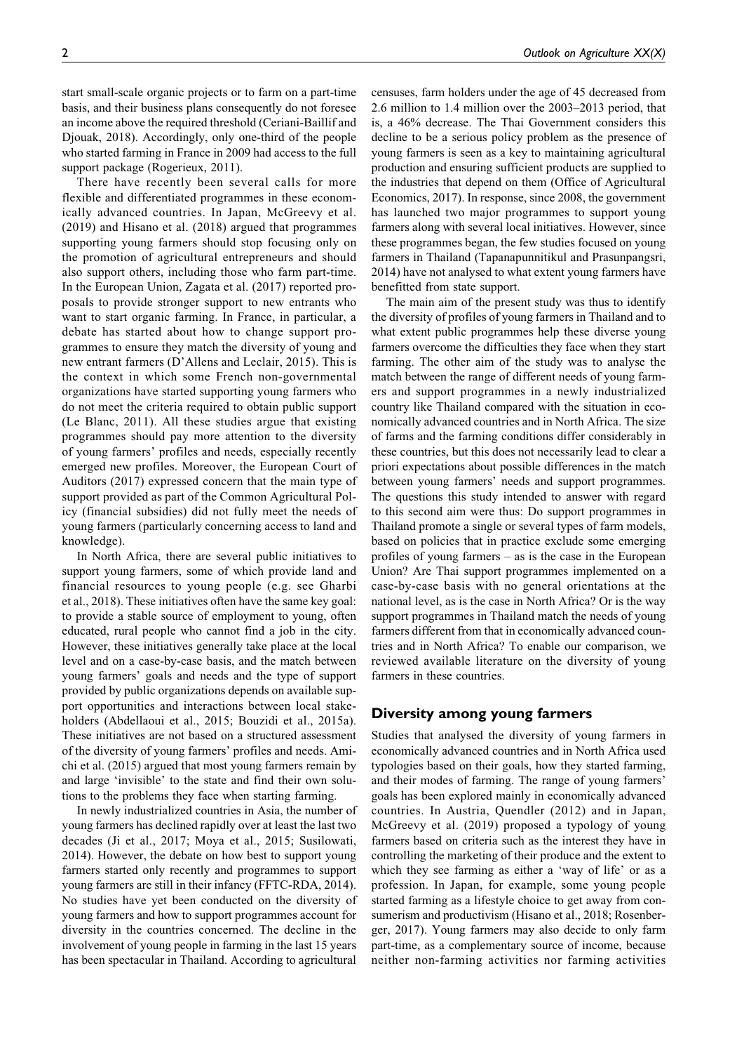start small-scale organic projects or to farm on a part-time basis, and their business plans consequently do not foresee an income above the required threshold (Ceriani-Baillif and Djouak, 2018). Accordingly, only one-third of the people who started farming in France in 2009 had access to the full support package (Rogerieux, 2011).

There have recently been several calls for more flexible and differentiated programmes in these economically advanced countries. In Japan, McGreevy et al. (2019) and Hisano et al. (2018) argued that programmes supporting young farmers should stop focusing only on the promotion of agricultural entrepreneurs and should also support others, including those who farm part-time. In the European Union, Zagata et al. (2017) reported proposals to provide stronger support to new entrants who want to start organic farming. In France, in particular, a debate has started about how to change support programmes to ensure they match the diversity of young and new entrant farmers (D'Allens and Leclair, 2015). This is the context in which some French non-governmental organizations have started supporting young farmers who do not meet the criteria required to obtain public support (Le Blanc, 2011). All these studies argue that existing programmes should pay more attention to the diversity of young farmers' profiles and needs, especially recently emerged new profiles. Moreover, the European Court of Auditors (2017) expressed concern that the main type of support provided as part of the Common Agricultural Policy (financial subsidies) did not fully meet the needs of young farmers (particularly concerning access to land and knowledge).

In North Africa, there are several public initiatives to support young farmers, some of which provide land and financial resources to young people (e.g. see Gharbi et al., 2018). These initiatives often have the same key goal: to provide a stable source of employment to young, often educated, rural people who cannot find a job in the city. However, these initiatives generally take place at the local level and on a case-by-case basis, and the match between young farmers' goals and needs and the type of support provided by public organizations depends on available support opportunities and interactions between local stakeholders (Abdellaoui et al., 2015; Bouzidi et al., 2015a). These initiatives are not based on a structured assessment of the diversity of young farmers' profiles and needs. Amichi et al. (2015) argued that most young farmers remain by and large 'invisible' to the state and find their own solutions to the problems they face when starting farming.

In newly industrialized countries in Asia, the number of young farmers has declined rapidly over at least the last two decades (Ji et al., 2017; Moya et al., 2015; Susilowati, 2014). However, the debate on how best to support young farmers started only recently and programmes to support young farmers are still in their infancy (FFTC-RDA, 2014). No studies have yet been conducted on the diversity of young farmers and how to support programmes account for diversity in the countries concerned. The decline in the involvement of young people in farming in the last 15 years has been spectacular in Thailand. According to agricultural

censuses, farm holders under the age of 45 decreased from 2.6 million to 1.4 million over the 2003–2013 period, that is, a 46% decrease. The Thai Government considers this decline to be a serious policy problem as the presence of young farmers is seen as a key to maintaining agricultural production and ensuring sufficient products are supplied to the industries that depend on them (Office of Agricultural Economics, 2017). In response, since 2008, the government has launched two major programmes to support young farmers along with several local initiatives. However, since these programmes began, the few studies focused on young farmers in Thailand (Tapanapunnitikul and Prasunpangsri, 2014) have not analysed to what extent young farmers have benefitted from state support.

The main aim of the present study was thus to identify the diversity of profiles of young farmers in Thailand and to what extent public programmes help these diverse young farmers overcome the difficulties they face when they start farming. The other aim of the study was to analyse the match between the range of different needs of young farmers and support programmes in a newly industrialized country like Thailand compared with the situation in economically advanced countries and in North Africa. The size of farms and the farming conditions differ considerably in these countries, but this does not necessarily lead to clear a priori expectations about possible differences in the match between young farmers' needs and support programmes. The questions this study intended to answer with regard to this second aim were thus: Do support programmes in Thailand promote a single or several types of farm models, based on policies that in practice exclude some emerging profiles of young farmers – as is the case in the European Union? Are Thai support programmes implemented on a case-by-case basis with no general orientations at the national level, as is the case in North Africa? Or is the way support programmes in Thailand match the needs of young farmers different from that in economically advanced countries and in North Africa? To enable our comparison, we reviewed available literature on the diversity of young farmers in these countries.

## Diversity among young farmers

Studies that analysed the diversity of young farmers in economically advanced countries and in North Africa used typologies based on their goals, how they started farming, and their modes of farming. The range of young farmers' goals has been explored mainly in economically advanced countries. In Austria, Quendler (2012) and in Japan, McGreevy et al. (2019) proposed a typology of young farmers based on criteria such as the interest they have in controlling the marketing of their produce and the extent to which they see farming as either a 'way of life' or as a profession. In Japan, for example, some young people started farming as a lifestyle choice to get away from consumerism and productivism (Hisano et al., 2018; Rosenberger, 2017). Young farmers may also decide to only farm part-time, as a complementary source of income, because neither non-farming activities nor farming activities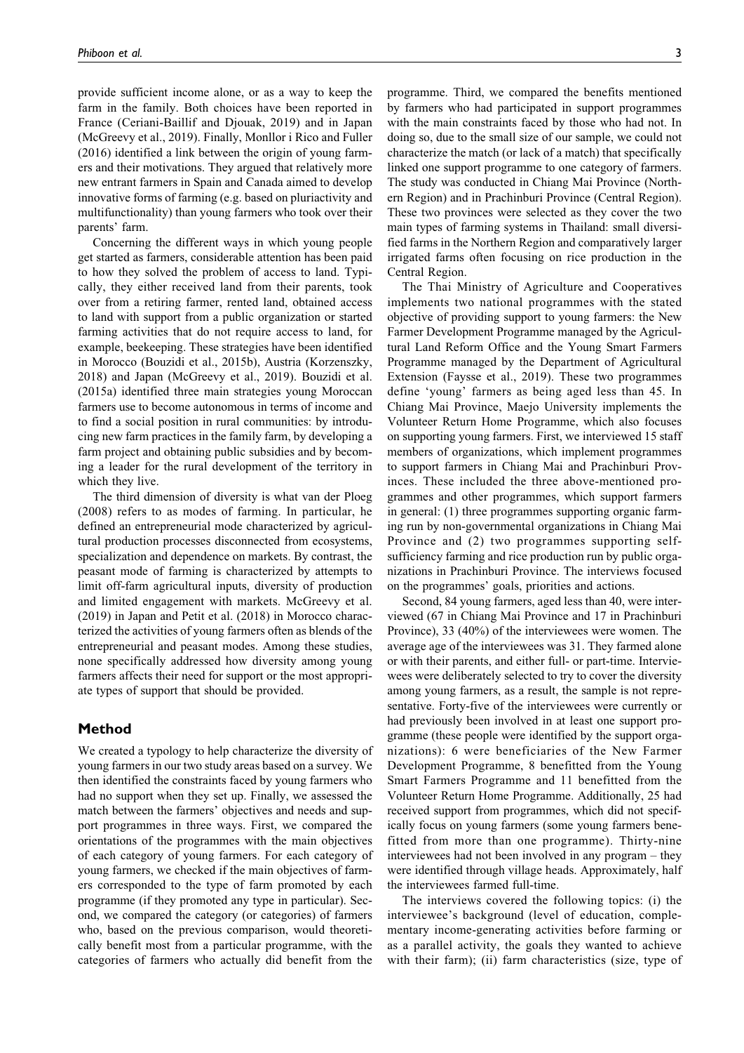provide sufficient income alone, or as a way to keep the farm in the family. Both choices have been reported in France (Ceriani-Baillif and Djouak, 2019) and in Japan (McGreevy et al., 2019). Finally, Monllor i Rico and Fuller (2016) identified a link between the origin of young farmers and their motivations. They argued that relatively more new entrant farmers in Spain and Canada aimed to develop innovative forms of farming (e.g. based on pluriactivity and multifunctionality) than young farmers who took over their parents' farm.

Concerning the different ways in which young people get started as farmers, considerable attention has been paid to how they solved the problem of access to land. Typically, they either received land from their parents, took over from a retiring farmer, rented land, obtained access to land with support from a public organization or started farming activities that do not require access to land, for example, beekeeping. These strategies have been identified in Morocco (Bouzidi et al., 2015b), Austria (Korzenszky, 2018) and Japan (McGreevy et al., 2019). Bouzidi et al. (2015a) identified three main strategies young Moroccan farmers use to become autonomous in terms of income and to find a social position in rural communities: by introducing new farm practices in the family farm, by developing a farm project and obtaining public subsidies and by becoming a leader for the rural development of the territory in which they live.

The third dimension of diversity is what van der Ploeg (2008) refers to as modes of farming. In particular, he defined an entrepreneurial mode characterized by agricultural production processes disconnected from ecosystems, specialization and dependence on markets. By contrast, the peasant mode of farming is characterized by attempts to limit off-farm agricultural inputs, diversity of production and limited engagement with markets. McGreevy et al. (2019) in Japan and Petit et al. (2018) in Morocco characterized the activities of young farmers often as blends of the entrepreneurial and peasant modes. Among these studies, none specifically addressed how diversity among young farmers affects their need for support or the most appropriate types of support that should be provided.

## Method

We created a typology to help characterize the diversity of young farmers in our two study areas based on a survey. We then identified the constraints faced by young farmers who had no support when they set up. Finally, we assessed the match between the farmers' objectives and needs and support programmes in three ways. First, we compared the orientations of the programmes with the main objectives of each category of young farmers. For each category of young farmers, we checked if the main objectives of farmers corresponded to the type of farm promoted by each programme (if they promoted any type in particular). Second, we compared the category (or categories) of farmers who, based on the previous comparison, would theoretically benefit most from a particular programme, with the categories of farmers who actually did benefit from the

programme. Third, we compared the benefits mentioned by farmers who had participated in support programmes with the main constraints faced by those who had not. In doing so, due to the small size of our sample, we could not characterize the match (or lack of a match) that specifically linked one support programme to one category of farmers. The study was conducted in Chiang Mai Province (Northern Region) and in Prachinburi Province (Central Region). These two provinces were selected as they cover the two main types of farming systems in Thailand: small diversified farms in the Northern Region and comparatively larger irrigated farms often focusing on rice production in the Central Region.

The Thai Ministry of Agriculture and Cooperatives implements two national programmes with the stated objective of providing support to young farmers: the New Farmer Development Programme managed by the Agricultural Land Reform Office and the Young Smart Farmers Programme managed by the Department of Agricultural Extension (Faysse et al., 2019). These two programmes define 'young' farmers as being aged less than 45. In Chiang Mai Province, Maejo University implements the Volunteer Return Home Programme, which also focuses on supporting young farmers. First, we interviewed 15 staff members of organizations, which implement programmes to support farmers in Chiang Mai and Prachinburi Provinces. These included the three above-mentioned programmes and other programmes, which support farmers in general: (1) three programmes supporting organic farming run by non-governmental organizations in Chiang Mai Province and (2) two programmes supporting selfsufficiency farming and rice production run by public organizations in Prachinburi Province. The interviews focused on the programmes' goals, priorities and actions.

Second, 84 young farmers, aged less than 40, were interviewed (67 in Chiang Mai Province and 17 in Prachinburi Province), 33 (40%) of the interviewees were women. The average age of the interviewees was 31. They farmed alone or with their parents, and either full- or part-time. Interviewees were deliberately selected to try to cover the diversity among young farmers, as a result, the sample is not representative. Forty-five of the interviewees were currently or had previously been involved in at least one support programme (these people were identified by the support organizations): 6 were beneficiaries of the New Farmer Development Programme, 8 benefitted from the Young Smart Farmers Programme and 11 benefitted from the Volunteer Return Home Programme. Additionally, 25 had received support from programmes, which did not specifically focus on young farmers (some young farmers benefitted from more than one programme). Thirty-nine interviewees had not been involved in any program – they were identified through village heads. Approximately, half the interviewees farmed full-time.

The interviews covered the following topics: (i) the interviewee's background (level of education, complementary income-generating activities before farming or as a parallel activity, the goals they wanted to achieve with their farm); (ii) farm characteristics (size, type of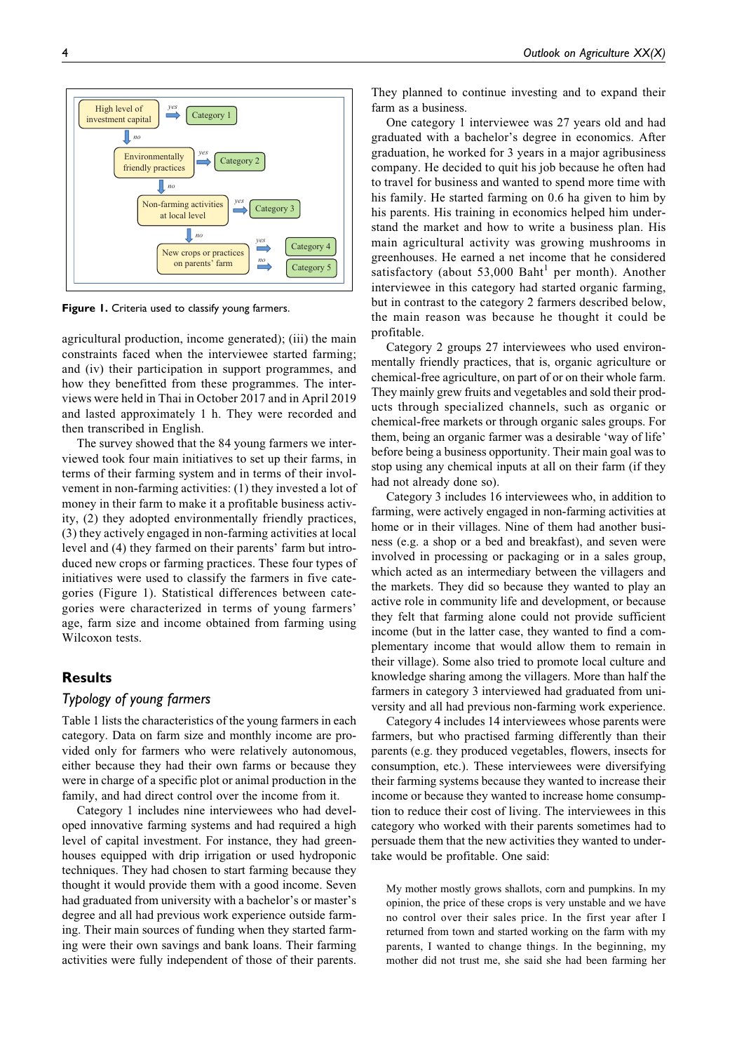

Figure 1. Criteria used to classify young farmers.

agricultural production, income generated); (iii) the main constraints faced when the interviewee started farming; and (iv) their participation in support programmes, and how they benefitted from these programmes. The interviews were held in Thai in October 2017 and in April 2019 and lasted approximately 1 h. They were recorded and then transcribed in English.

The survey showed that the 84 young farmers we interviewed took four main initiatives to set up their farms, in terms of their farming system and in terms of their involvement in non-farming activities: (1) they invested a lot of money in their farm to make it a profitable business activity, (2) they adopted environmentally friendly practices, (3) they actively engaged in non-farming activities at local level and (4) they farmed on their parents' farm but introduced new crops or farming practices. These four types of initiatives were used to classify the farmers in five categories (Figure 1). Statistical differences between categories were characterized in terms of young farmers' age, farm size and income obtained from farming using Wilcoxon tests.

# **Results**

## Typology of young farmers

Table 1 lists the characteristics of the young farmers in each category. Data on farm size and monthly income are provided only for farmers who were relatively autonomous, either because they had their own farms or because they were in charge of a specific plot or animal production in the family, and had direct control over the income from it.

Category 1 includes nine interviewees who had developed innovative farming systems and had required a high level of capital investment. For instance, they had greenhouses equipped with drip irrigation or used hydroponic techniques. They had chosen to start farming because they thought it would provide them with a good income. Seven had graduated from university with a bachelor's or master's degree and all had previous work experience outside farming. Their main sources of funding when they started farming were their own savings and bank loans. Their farming activities were fully independent of those of their parents. They planned to continue investing and to expand their farm as a business.

One category 1 interviewee was 27 years old and had graduated with a bachelor's degree in economics. After graduation, he worked for 3 years in a major agribusiness company. He decided to quit his job because he often had to travel for business and wanted to spend more time with his family. He started farming on 0.6 ha given to him by his parents. His training in economics helped him understand the market and how to write a business plan. His main agricultural activity was growing mushrooms in greenhouses. He earned a net income that he considered satisfactory (about 53,000 Baht<sup>1</sup> per month). Another interviewee in this category had started organic farming, but in contrast to the category 2 farmers described below, the main reason was because he thought it could be profitable.

Category 2 groups 27 interviewees who used environmentally friendly practices, that is, organic agriculture or chemical-free agriculture, on part of or on their whole farm. They mainly grew fruits and vegetables and sold their products through specialized channels, such as organic or chemical-free markets or through organic sales groups. For them, being an organic farmer was a desirable 'way of life' before being a business opportunity. Their main goal was to stop using any chemical inputs at all on their farm (if they had not already done so).

Category 3 includes 16 interviewees who, in addition to farming, were actively engaged in non-farming activities at home or in their villages. Nine of them had another business (e.g. a shop or a bed and breakfast), and seven were involved in processing or packaging or in a sales group, which acted as an intermediary between the villagers and the markets. They did so because they wanted to play an active role in community life and development, or because they felt that farming alone could not provide sufficient income (but in the latter case, they wanted to find a complementary income that would allow them to remain in their village). Some also tried to promote local culture and knowledge sharing among the villagers. More than half the farmers in category 3 interviewed had graduated from university and all had previous non-farming work experience.

Category 4 includes 14 interviewees whose parents were farmers, but who practised farming differently than their parents (e.g. they produced vegetables, flowers, insects for consumption, etc.). These interviewees were diversifying their farming systems because they wanted to increase their income or because they wanted to increase home consumption to reduce their cost of living. The interviewees in this category who worked with their parents sometimes had to persuade them that the new activities they wanted to undertake would be profitable. One said:

My mother mostly grows shallots, corn and pumpkins. In my opinion, the price of these crops is very unstable and we have no control over their sales price. In the first year after I returned from town and started working on the farm with my parents, I wanted to change things. In the beginning, my mother did not trust me, she said she had been farming her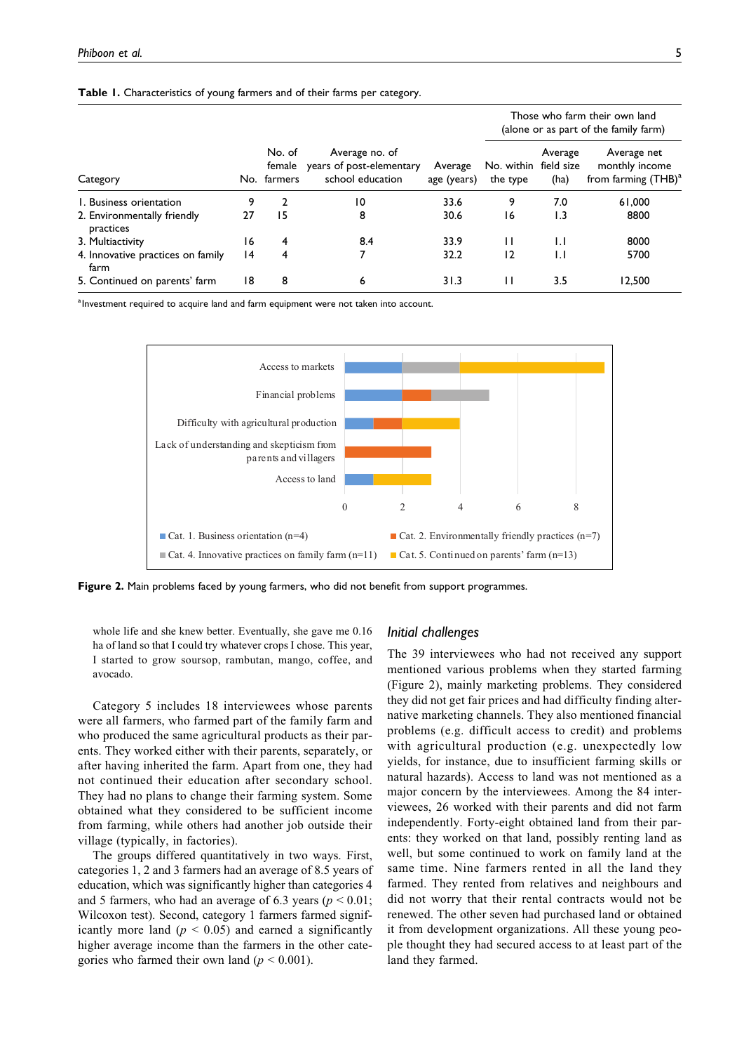| Category                                  |    | No. of<br>female<br>No. farmers | Average no. of<br>years of post-elementary<br>school education | Average<br>age (years) | Those who farm their own land<br>(alone or as part of the family farm) |                 |                                                                  |
|-------------------------------------------|----|---------------------------------|----------------------------------------------------------------|------------------------|------------------------------------------------------------------------|-----------------|------------------------------------------------------------------|
|                                           |    |                                 |                                                                |                        | No. within field size<br>the type                                      | Average<br>(ha) | Average net<br>monthly income<br>from farming (THB) <sup>a</sup> |
| 1. Business orientation                   | 9  | 2                               | 10                                                             | 33.6                   | 9                                                                      | 7.0             | 61,000                                                           |
| 2. Environmentally friendly<br>practices  | 27 | 15                              | 8                                                              | 30.6                   | 16                                                                     | 1.3             | 8800                                                             |
| 3. Multiactivity                          | 16 | 4                               | 8.4                                                            | 33.9                   | П                                                                      | $\mathsf{L}$    | 8000                                                             |
| 4. Innovative practices on family<br>farm | 14 | 4                               |                                                                | 32.2                   | 12                                                                     | $\mathsf{L}$    | 5700                                                             |
| 5. Continued on parents' farm             | 18 | 8                               | 6                                                              | 31.3                   | $\mathsf{I}$                                                           | 3.5             | 12.500                                                           |

Table 1. Characteristics of young farmers and of their farms per category.

<sup>a</sup>lnvestment required to acquire land and farm equipment were not taken into account.



Figure 2. Main problems faced by young farmers, who did not benefit from support programmes.

whole life and she knew better. Eventually, she gave me 0.16 ha of land so that I could try whatever crops I chose. This year, I started to grow soursop, rambutan, mango, coffee, and avocado.

Category 5 includes 18 interviewees whose parents were all farmers, who farmed part of the family farm and who produced the same agricultural products as their parents. They worked either with their parents, separately, or after having inherited the farm. Apart from one, they had not continued their education after secondary school. They had no plans to change their farming system. Some obtained what they considered to be sufficient income from farming, while others had another job outside their village (typically, in factories).

The groups differed quantitatively in two ways. First, categories 1, 2 and 3 farmers had an average of 8.5 years of education, which was significantly higher than categories 4 and 5 farmers, who had an average of 6.3 years ( $p < 0.01$ ; Wilcoxon test). Second, category 1 farmers farmed significantly more land ( $p \le 0.05$ ) and earned a significantly higher average income than the farmers in the other categories who farmed their own land ( $p < 0.001$ ).

#### Initial challenges

The 39 interviewees who had not received any support mentioned various problems when they started farming (Figure 2), mainly marketing problems. They considered they did not get fair prices and had difficulty finding alternative marketing channels. They also mentioned financial problems (e.g. difficult access to credit) and problems with agricultural production (e.g. unexpectedly low yields, for instance, due to insufficient farming skills or natural hazards). Access to land was not mentioned as a major concern by the interviewees. Among the 84 interviewees, 26 worked with their parents and did not farm independently. Forty-eight obtained land from their parents: they worked on that land, possibly renting land as well, but some continued to work on family land at the same time. Nine farmers rented in all the land they farmed. They rented from relatives and neighbours and did not worry that their rental contracts would not be renewed. The other seven had purchased land or obtained it from development organizations. All these young people thought they had secured access to at least part of the land they farmed.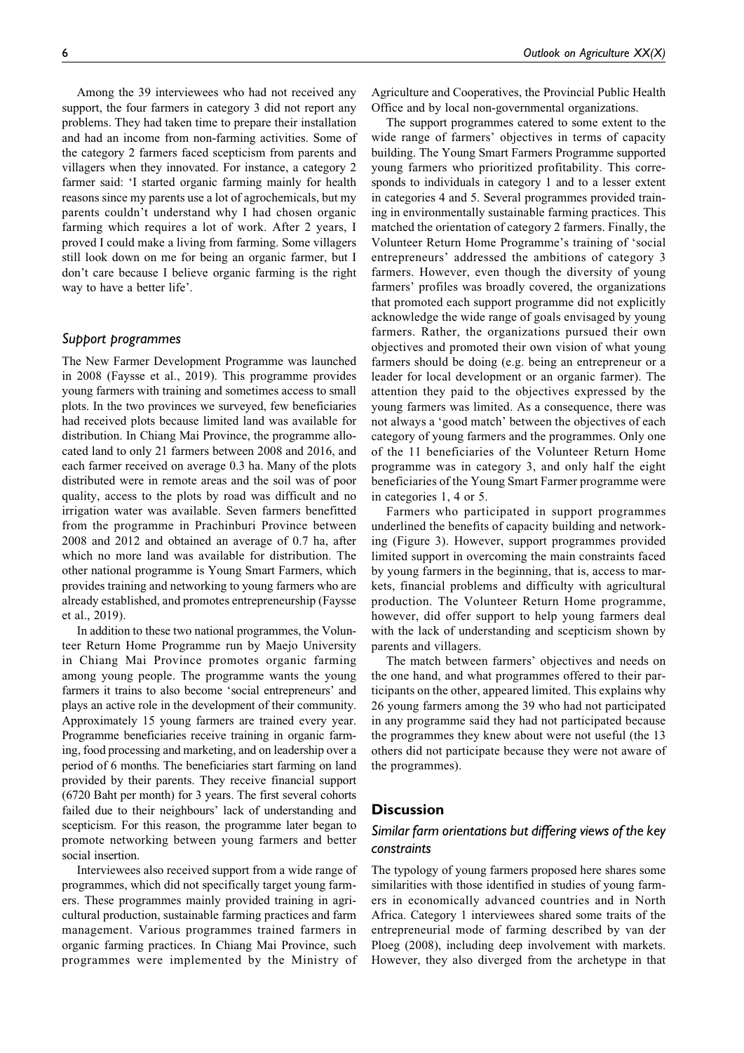Among the 39 interviewees who had not received any support, the four farmers in category 3 did not report any problems. They had taken time to prepare their installation and had an income from non-farming activities. Some of the category 2 farmers faced scepticism from parents and villagers when they innovated. For instance, a category 2 farmer said: 'I started organic farming mainly for health reasons since my parents use a lot of agrochemicals, but my parents couldn't understand why I had chosen organic farming which requires a lot of work. After 2 years, I proved I could make a living from farming. Some villagers still look down on me for being an organic farmer, but I don't care because I believe organic farming is the right way to have a better life'.

#### Support programmes

The New Farmer Development Programme was launched in 2008 (Faysse et al., 2019). This programme provides young farmers with training and sometimes access to small plots. In the two provinces we surveyed, few beneficiaries had received plots because limited land was available for distribution. In Chiang Mai Province, the programme allocated land to only 21 farmers between 2008 and 2016, and each farmer received on average 0.3 ha. Many of the plots distributed were in remote areas and the soil was of poor quality, access to the plots by road was difficult and no irrigation water was available. Seven farmers benefitted from the programme in Prachinburi Province between 2008 and 2012 and obtained an average of 0.7 ha, after which no more land was available for distribution. The other national programme is Young Smart Farmers, which provides training and networking to young farmers who are already established, and promotes entrepreneurship (Faysse et al., 2019).

In addition to these two national programmes, the Volunteer Return Home Programme run by Maejo University in Chiang Mai Province promotes organic farming among young people. The programme wants the young farmers it trains to also become 'social entrepreneurs' and plays an active role in the development of their community. Approximately 15 young farmers are trained every year. Programme beneficiaries receive training in organic farming, food processing and marketing, and on leadership over a period of 6 months. The beneficiaries start farming on land provided by their parents. They receive financial support (6720 Baht per month) for 3 years. The first several cohorts failed due to their neighbours' lack of understanding and scepticism. For this reason, the programme later began to promote networking between young farmers and better social insertion.

Interviewees also received support from a wide range of programmes, which did not specifically target young farmers. These programmes mainly provided training in agricultural production, sustainable farming practices and farm management. Various programmes trained farmers in organic farming practices. In Chiang Mai Province, such programmes were implemented by the Ministry of Agriculture and Cooperatives, the Provincial Public Health Office and by local non-governmental organizations.

The support programmes catered to some extent to the wide range of farmers' objectives in terms of capacity building. The Young Smart Farmers Programme supported young farmers who prioritized profitability. This corresponds to individuals in category 1 and to a lesser extent in categories 4 and 5. Several programmes provided training in environmentally sustainable farming practices. This matched the orientation of category 2 farmers. Finally, the Volunteer Return Home Programme's training of 'social entrepreneurs' addressed the ambitions of category 3 farmers. However, even though the diversity of young farmers' profiles was broadly covered, the organizations that promoted each support programme did not explicitly acknowledge the wide range of goals envisaged by young farmers. Rather, the organizations pursued their own objectives and promoted their own vision of what young farmers should be doing (e.g. being an entrepreneur or a leader for local development or an organic farmer). The attention they paid to the objectives expressed by the young farmers was limited. As a consequence, there was not always a 'good match' between the objectives of each category of young farmers and the programmes. Only one of the 11 beneficiaries of the Volunteer Return Home programme was in category 3, and only half the eight beneficiaries of the Young Smart Farmer programme were in categories 1, 4 or 5.

Farmers who participated in support programmes underlined the benefits of capacity building and networking (Figure 3). However, support programmes provided limited support in overcoming the main constraints faced by young farmers in the beginning, that is, access to markets, financial problems and difficulty with agricultural production. The Volunteer Return Home programme, however, did offer support to help young farmers deal with the lack of understanding and scepticism shown by parents and villagers.

The match between farmers' objectives and needs on the one hand, and what programmes offered to their participants on the other, appeared limited. This explains why 26 young farmers among the 39 who had not participated in any programme said they had not participated because the programmes they knew about were not useful (the 13 others did not participate because they were not aware of the programmes).

#### **Discussion**

## Similar farm orientations but differing views of the key constraints

The typology of young farmers proposed here shares some similarities with those identified in studies of young farmers in economically advanced countries and in North Africa. Category 1 interviewees shared some traits of the entrepreneurial mode of farming described by van der Ploeg (2008), including deep involvement with markets. However, they also diverged from the archetype in that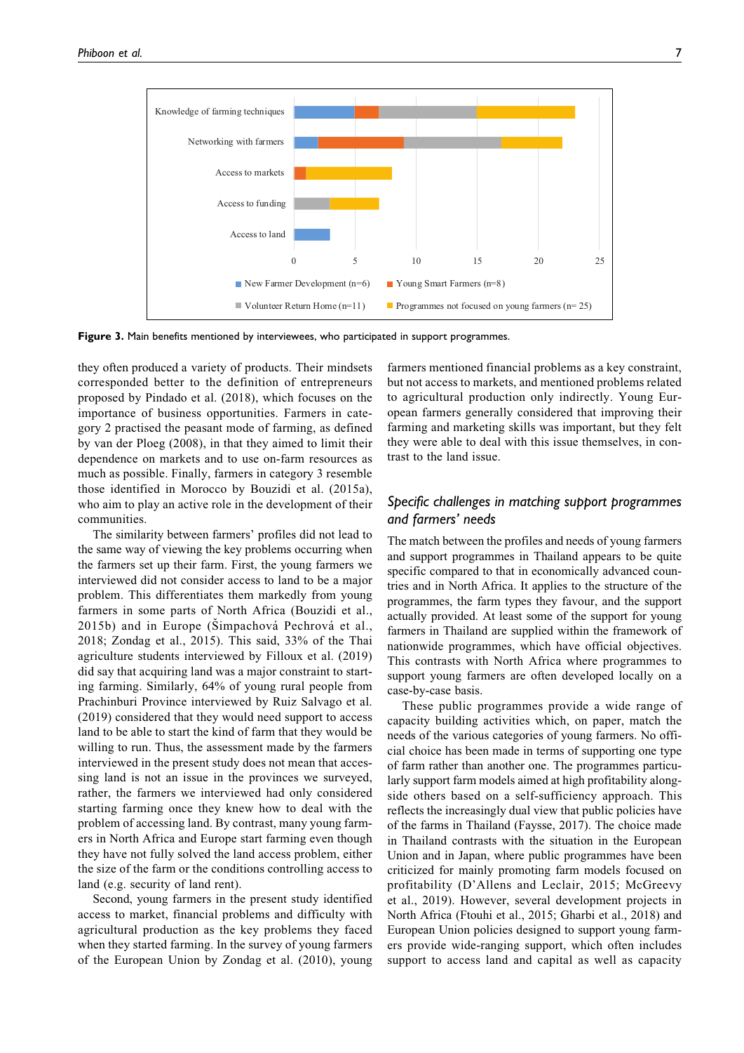

Figure 3. Main benefits mentioned by interviewees, who participated in support programmes.

they often produced a variety of products. Their mindsets corresponded better to the definition of entrepreneurs proposed by Pindado et al. (2018), which focuses on the importance of business opportunities. Farmers in category 2 practised the peasant mode of farming, as defined by van der Ploeg (2008), in that they aimed to limit their dependence on markets and to use on-farm resources as much as possible. Finally, farmers in category 3 resemble those identified in Morocco by Bouzidi et al. (2015a), who aim to play an active role in the development of their communities.

The similarity between farmers' profiles did not lead to the same way of viewing the key problems occurring when the farmers set up their farm. First, the young farmers we interviewed did not consider access to land to be a major problem. This differentiates them markedly from young farmers in some parts of North Africa (Bouzidi et al., 2015b) and in Europe (Simpachová Pechrová et al., 2018; Zondag et al., 2015). This said, 33% of the Thai agriculture students interviewed by Filloux et al. (2019) did say that acquiring land was a major constraint to starting farming. Similarly, 64% of young rural people from Prachinburi Province interviewed by Ruiz Salvago et al. (2019) considered that they would need support to access land to be able to start the kind of farm that they would be willing to run. Thus, the assessment made by the farmers interviewed in the present study does not mean that accessing land is not an issue in the provinces we surveyed, rather, the farmers we interviewed had only considered starting farming once they knew how to deal with the problem of accessing land. By contrast, many young farmers in North Africa and Europe start farming even though they have not fully solved the land access problem, either the size of the farm or the conditions controlling access to land (e.g. security of land rent).

Second, young farmers in the present study identified access to market, financial problems and difficulty with agricultural production as the key problems they faced when they started farming. In the survey of young farmers of the European Union by Zondag et al. (2010), young

farmers mentioned financial problems as a key constraint, but not access to markets, and mentioned problems related to agricultural production only indirectly. Young European farmers generally considered that improving their farming and marketing skills was important, but they felt they were able to deal with this issue themselves, in contrast to the land issue.

# Specific challenges in matching support programmes and farmers' needs

The match between the profiles and needs of young farmers and support programmes in Thailand appears to be quite specific compared to that in economically advanced countries and in North Africa. It applies to the structure of the programmes, the farm types they favour, and the support actually provided. At least some of the support for young farmers in Thailand are supplied within the framework of nationwide programmes, which have official objectives. This contrasts with North Africa where programmes to support young farmers are often developed locally on a case-by-case basis.

These public programmes provide a wide range of capacity building activities which, on paper, match the needs of the various categories of young farmers. No official choice has been made in terms of supporting one type of farm rather than another one. The programmes particularly support farm models aimed at high profitability alongside others based on a self-sufficiency approach. This reflects the increasingly dual view that public policies have of the farms in Thailand (Faysse, 2017). The choice made in Thailand contrasts with the situation in the European Union and in Japan, where public programmes have been criticized for mainly promoting farm models focused on profitability (D'Allens and Leclair, 2015; McGreevy et al., 2019). However, several development projects in North Africa (Ftouhi et al., 2015; Gharbi et al., 2018) and European Union policies designed to support young farmers provide wide-ranging support, which often includes support to access land and capital as well as capacity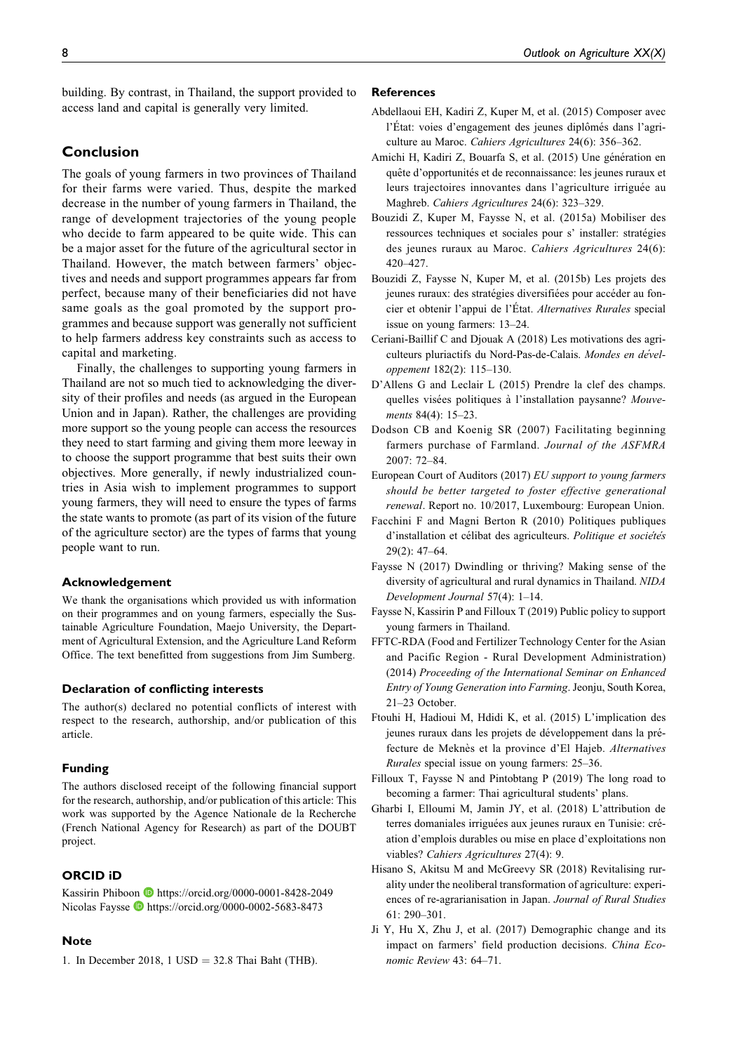building. By contrast, in Thailand, the support provided to access land and capital is generally very limited.

## Conclusion

The goals of young farmers in two provinces of Thailand for their farms were varied. Thus, despite the marked decrease in the number of young farmers in Thailand, the range of development trajectories of the young people who decide to farm appeared to be quite wide. This can be a major asset for the future of the agricultural sector in Thailand. However, the match between farmers' objectives and needs and support programmes appears far from perfect, because many of their beneficiaries did not have same goals as the goal promoted by the support programmes and because support was generally not sufficient to help farmers address key constraints such as access to capital and marketing.

Finally, the challenges to supporting young farmers in Thailand are not so much tied to acknowledging the diversity of their profiles and needs (as argued in the European Union and in Japan). Rather, the challenges are providing more support so the young people can access the resources they need to start farming and giving them more leeway in to choose the support programme that best suits their own objectives. More generally, if newly industrialized countries in Asia wish to implement programmes to support young farmers, they will need to ensure the types of farms the state wants to promote (as part of its vision of the future of the agriculture sector) are the types of farms that young people want to run.

#### Acknowledgement

We thank the organisations which provided us with information on their programmes and on young farmers, especially the Sustainable Agriculture Foundation, Maejo University, the Department of Agricultural Extension, and the Agriculture Land Reform Office. The text benefitted from suggestions from Jim Sumberg.

#### Declaration of conflicting interests

The author(s) declared no potential conflicts of interest with respect to the research, authorship, and/or publication of this article.

#### Funding

The authors disclosed receipt of the following financial support for the research, authorship, and/or publication of this article: This work was supported by the Agence Nationale de la Recherche (French National Agency for Research) as part of the DOUBT project.

## ORCID iD

Kassirin Phiboon D<https://orcid.org/0000-0001-8428-2049> Nicolas Faysse <https://orcid.org/0000-0002-5683-8473>

#### **Note**

1. In December 2018, 1 USD =  $32.8$  Thai Baht (THB).

#### **References**

- Abdellaoui EH, Kadiri Z, Kuper M, et al. (2015) Composer avec l'État: voies d'engagement des jeunes diplômés dans l'agriculture au Maroc. Cahiers Agricultures 24(6): 356–362.
- Amichi H, Kadiri Z, Bouarfa S, et al. (2015) Une génération en quête d'opportunités et de reconnaissance: les jeunes ruraux et leurs trajectoires innovantes dans l'agriculture irriguée au Maghreb. Cahiers Agricultures 24(6): 323–329.
- Bouzidi Z, Kuper M, Faysse N, et al. (2015a) Mobiliser des ressources techniques et sociales pour s' installer: stratégies des jeunes ruraux au Maroc. Cahiers Agricultures 24(6): 420–427.
- Bouzidi Z, Faysse N, Kuper M, et al. (2015b) Les projets des jeunes ruraux: des stratégies diversifiées pour accéder au foncier et obtenir l'appui de l'État. Alternatives Rurales special issue on young farmers: 13–24.
- Ceriani-Baillif C and Djouak A (2018) Les motivations des agriculteurs pluriactifs du Nord-Pas-de-Calais. Mondes en développement 182(2): 115–130.
- D'Allens G and Leclair L (2015) Prendre la clef des champs. quelles visées politiques à l'installation paysanne? Mouvements 84(4): 15–23.
- Dodson CB and Koenig SR (2007) Facilitating beginning farmers purchase of Farmland. Journal of the ASFMRA 2007: 72–84.
- European Court of Auditors (2017) EU support to young farmers should be better targeted to foster effective generational renewal. Report no. 10/2017, Luxembourg: European Union.
- Facchini F and Magni Berton R (2010) Politiques publiques d'installation et célibat des agriculteurs. Politique et sociétés 29(2): 47–64.
- Faysse N (2017) Dwindling or thriving? Making sense of the diversity of agricultural and rural dynamics in Thailand. NIDA Development Journal 57(4): 1–14.
- Faysse N, Kassirin P and Filloux T (2019) Public policy to support young farmers in Thailand.
- FFTC-RDA (Food and Fertilizer Technology Center for the Asian and Pacific Region - Rural Development Administration) (2014) Proceeding of the International Seminar on Enhanced Entry of Young Generation into Farming. Jeonju, South Korea, 21–23 October.
- Ftouhi H, Hadioui M, Hdidi K, et al. (2015) L'implication des jeunes ruraux dans les projets de développement dans la préfecture de Meknès et la province d'El Hajeb. Alternatives Rurales special issue on young farmers: 25–36.
- Filloux T, Faysse N and Pintobtang P (2019) The long road to becoming a farmer: Thai agricultural students' plans.
- Gharbi I, Elloumi M, Jamin JY, et al. (2018) L'attribution de terres domaniales irriguées aux jeunes ruraux en Tunisie: création d'emplois durables ou mise en place d'exploitations non viables? Cahiers Agricultures 27(4): 9.
- Hisano S, Akitsu M and McGreevy SR (2018) Revitalising rurality under the neoliberal transformation of agriculture: experiences of re-agrarianisation in Japan. Journal of Rural Studies 61: 290–301.
- Ji Y, Hu X, Zhu J, et al. (2017) Demographic change and its impact on farmers' field production decisions. China Economic Review 43: 64–71.